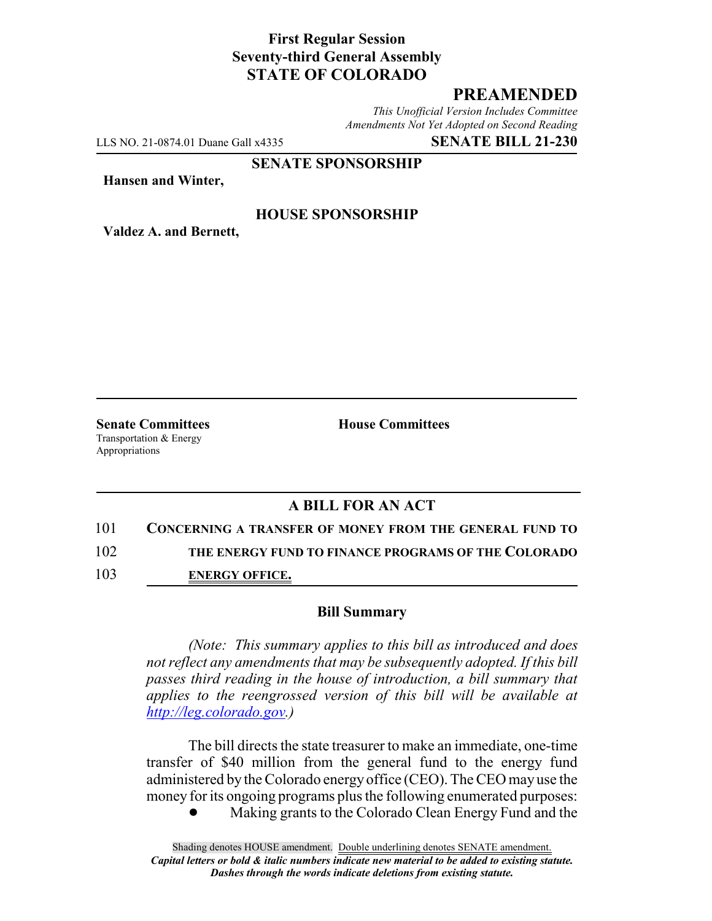# **First Regular Session Seventy-third General Assembly STATE OF COLORADO**

# **PREAMENDED**

*This Unofficial Version Includes Committee Amendments Not Yet Adopted on Second Reading*

LLS NO. 21-0874.01 Duane Gall x4335 **SENATE BILL 21-230**

#### **SENATE SPONSORSHIP**

**Hansen and Winter,**

### **HOUSE SPONSORSHIP**

**Valdez A. and Bernett,**

Transportation & Energy Appropriations

**Senate Committees House Committees** 

### **A BILL FOR AN ACT**

101 **CONCERNING A TRANSFER OF MONEY FROM THE GENERAL FUND TO**

102 **THE ENERGY FUND TO FINANCE PROGRAMS OF THE COLORADO**

103 **ENERGY OFFICE.**

#### **Bill Summary**

*(Note: This summary applies to this bill as introduced and does not reflect any amendments that may be subsequently adopted. If this bill passes third reading in the house of introduction, a bill summary that applies to the reengrossed version of this bill will be available at http://leg.colorado.gov.)*

The bill directs the state treasurer to make an immediate, one-time transfer of \$40 million from the general fund to the energy fund administered by the Colorado energy office (CEO). The CEO may use the money for its ongoing programs plus the following enumerated purposes:

! Making grants to the Colorado Clean Energy Fund and the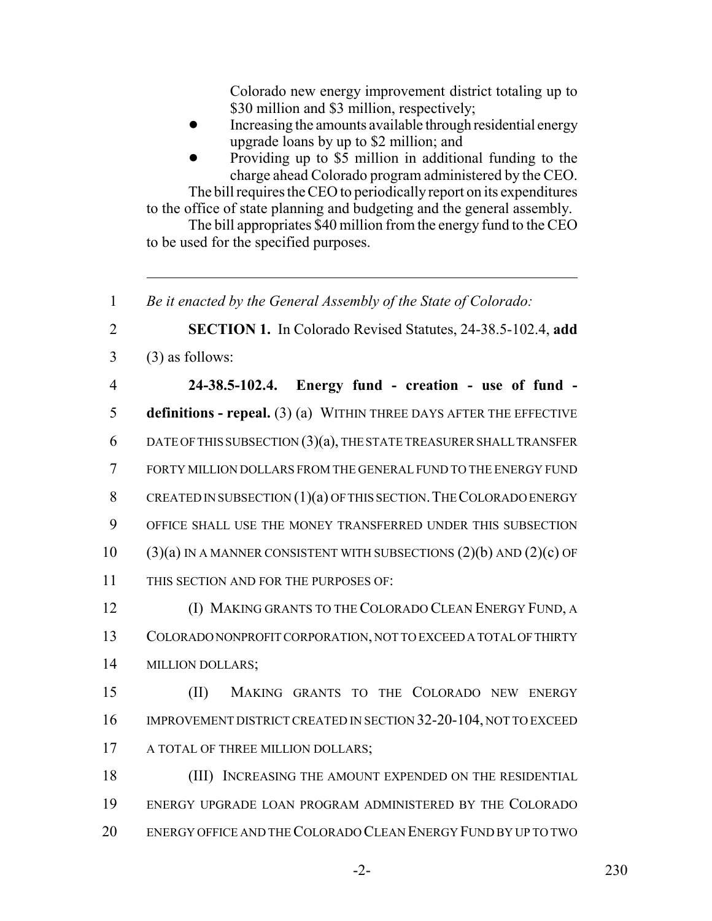Colorado new energy improvement district totaling up to \$30 million and \$3 million, respectively;

- Increasing the amounts available through residential energy upgrade loans by up to \$2 million; and
- ! Providing up to \$5 million in additional funding to the charge ahead Colorado program administered by the CEO.

The bill requires the CEO to periodically report on its expenditures to the office of state planning and budgeting and the general assembly.

The bill appropriates \$40 million from the energy fund to the CEO to be used for the specified purposes.

1 *Be it enacted by the General Assembly of the State of Colorado:*

2 **SECTION 1.** In Colorado Revised Statutes, 24-38.5-102.4, **add**  $3 \qquad (3)$  as follows:

 **24-38.5-102.4. Energy fund - creation - use of fund - definitions - repeal.** (3) (a) WITHIN THREE DAYS AFTER THE EFFECTIVE 6 DATE OF THIS SUBSECTION  $(3)(a)$ , THE STATE TREASURER SHALL TRANSFER FORTY MILLION DOLLARS FROM THE GENERAL FUND TO THE ENERGY FUND 8 CREATED IN SUBSECTION  $(1)(a)$  of this section. The Colorado energy OFFICE SHALL USE THE MONEY TRANSFERRED UNDER THIS SUBSECTION 10 (3)(a) IN A MANNER CONSISTENT WITH SUBSECTIONS  $(2)(b)$  AND  $(2)(c)$  OF THIS SECTION AND FOR THE PURPOSES OF:

12 (I) MAKING GRANTS TO THE COLORADO CLEAN ENERGY FUND, A 13 COLORADO NONPROFIT CORPORATION, NOT TO EXCEED A TOTAL OF THIRTY 14 MILLION DOLLARS;

15 (II) MAKING GRANTS TO THE COLORADO NEW ENERGY 16 IMPROVEMENT DISTRICT CREATED IN SECTION 32-20-104, NOT TO EXCEED 17 A TOTAL OF THREE MILLION DOLLARS;

18 (III) INCREASING THE AMOUNT EXPENDED ON THE RESIDENTIAL 19 ENERGY UPGRADE LOAN PROGRAM ADMINISTERED BY THE COLORADO 20 ENERGY OFFICE AND THE COLORADO CLEAN ENERGY FUND BY UP TO TWO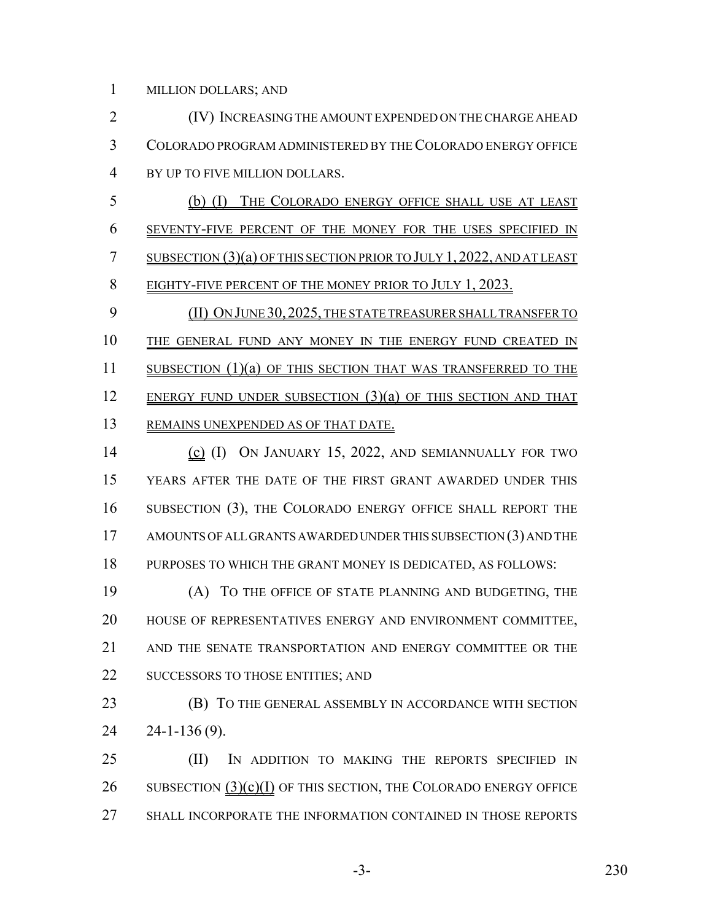MILLION DOLLARS; AND

 (IV) INCREASING THE AMOUNT EXPENDED ON THE CHARGE AHEAD COLORADO PROGRAM ADMINISTERED BY THE COLORADO ENERGY OFFICE BY UP TO FIVE MILLION DOLLARS. (b) (I) THE COLORADO ENERGY OFFICE SHALL USE AT LEAST SEVENTY-FIVE PERCENT OF THE MONEY FOR THE USES SPECIFIED IN SUBSECTION (3)(a) OF THIS SECTION PRIOR TO JULY 1, 2022, AND AT LEAST 8 EIGHTY-FIVE PERCENT OF THE MONEY PRIOR TO JULY 1, 2023. 9 (II) ON JUNE 30, 2025, THE STATE TREASURER SHALL TRANSFER TO 10 THE GENERAL FUND ANY MONEY IN THE ENERGY FUND CREATED IN 11 SUBSECTION (1)(a) OF THIS SECTION THAT WAS TRANSFERRED TO THE 12 ENERGY FUND UNDER SUBSECTION (3)(a) OF THIS SECTION AND THAT 13 REMAINS UNEXPENDED AS OF THAT DATE. (c) (I) ON JANUARY 15, 2022, AND SEMIANNUALLY FOR TWO YEARS AFTER THE DATE OF THE FIRST GRANT AWARDED UNDER THIS SUBSECTION (3), THE COLORADO ENERGY OFFICE SHALL REPORT THE 17 AMOUNTS OF ALL GRANTS AWARDED UNDER THIS SUBSECTION (3) AND THE PURPOSES TO WHICH THE GRANT MONEY IS DEDICATED, AS FOLLOWS: (A) TO THE OFFICE OF STATE PLANNING AND BUDGETING, THE HOUSE OF REPRESENTATIVES ENERGY AND ENVIRONMENT COMMITTEE, AND THE SENATE TRANSPORTATION AND ENERGY COMMITTEE OR THE 22 SUCCESSORS TO THOSE ENTITIES; AND **(B)** TO THE GENERAL ASSEMBLY IN ACCORDANCE WITH SECTION 24-1-136 (9). (II) IN ADDITION TO MAKING THE REPORTS SPECIFIED IN 26 SUBSECTION  $(3)(c)(I)$  OF THIS SECTION, THE COLORADO ENERGY OFFICE

SHALL INCORPORATE THE INFORMATION CONTAINED IN THOSE REPORTS

-3- 230